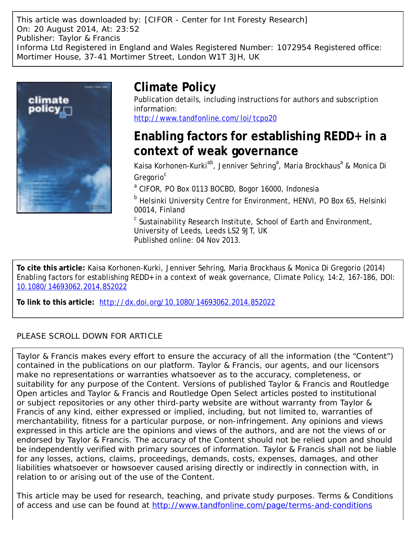This article was downloaded by: [CIFOR - Center for Int Foresty Research] On: 20 August 2014, At: 23:52 Publisher: Taylor & Francis Informa Ltd Registered in England and Wales Registered Number: 1072954 Registered office: Mortimer House, 37-41 Mortimer Street, London W1T 3JH, UK



# **Climate Policy**

Publication details, including instructions for authors and subscription information:

<http://www.tandfonline.com/loi/tcpo20>

# **Enabling factors for establishing REDD+ in a context of weak governance**

Kaisa Korhonen-Kurki<sup>ab</sup>, Jenniver Sehring<sup>a</sup>, Maria Brockhaus<sup>a</sup> & Monica Di Gregorio<sup>c</sup>

a CIFOR, PO Box 0113 BOCBD, Bogor 16000, Indonesia

<sup>b</sup> Helsinki University Centre for Environment, HENVI, PO Box 65, Helsinki 00014, Finland

<sup>c</sup> Sustainability Research Institute, School of Earth and Environment, University of Leeds, Leeds LS2 9JT, UK Published online: 04 Nov 2013.

**To cite this article:** Kaisa Korhonen-Kurki, Jenniver Sehring, Maria Brockhaus & Monica Di Gregorio (2014) Enabling factors for establishing REDD+ in a context of weak governance, Climate Policy, 14:2, 167-186, DOI: [10.1080/14693062.2014.852022](http://www.tandfonline.com/action/showCitFormats?doi=10.1080/14693062.2014.852022)

**To link to this article:** <http://dx.doi.org/10.1080/14693062.2014.852022>

# PLEASE SCROLL DOWN FOR ARTICLE

Taylor & Francis makes every effort to ensure the accuracy of all the information (the "Content") contained in the publications on our platform. Taylor & Francis, our agents, and our licensors make no representations or warranties whatsoever as to the accuracy, completeness, or suitability for any purpose of the Content. Versions of published Taylor & Francis and Routledge Open articles and Taylor & Francis and Routledge Open Select articles posted to institutional or subject repositories or any other third-party website are without warranty from Taylor & Francis of any kind, either expressed or implied, including, but not limited to, warranties of merchantability, fitness for a particular purpose, or non-infringement. Any opinions and views expressed in this article are the opinions and views of the authors, and are not the views of or endorsed by Taylor & Francis. The accuracy of the Content should not be relied upon and should be independently verified with primary sources of information. Taylor & Francis shall not be liable for any losses, actions, claims, proceedings, demands, costs, expenses, damages, and other liabilities whatsoever or howsoever caused arising directly or indirectly in connection with, in relation to or arising out of the use of the Content.

This article may be used for research, teaching, and private study purposes. Terms & Conditions of access and use can be found at<http://www.tandfonline.com/page/terms-and-conditions>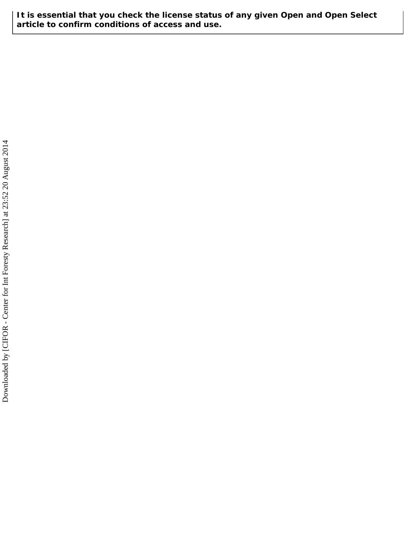**It is essential that you check the license status of any given Open and Open Select article to confirm conditions of access and use.**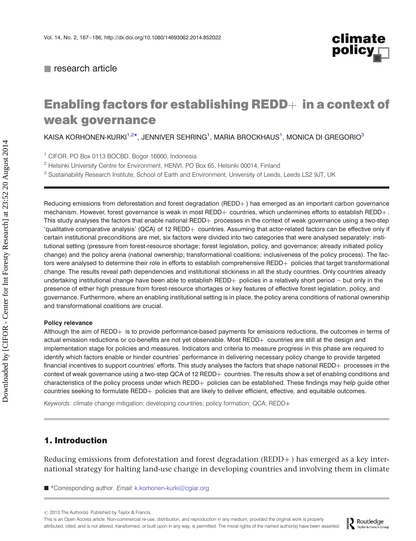## $\blacksquare$  research article

# Enabling factors for establishing  $\mathsf{REDD}\text{+}$  in a context of weak governance

KAISA KORHONEN-KURKI $^{1,2\star}$ , JENNIVER SEHRING $^1$ , MARIA BROCKHAUS $^1$ , MONICA DI GREGORIO $^3$ 

<sup>1</sup> CIFOR, PO Box 0113 BOCBD, Bogor 16000, Indonesia

<sup>2</sup> Helsinki University Centre for Environment, HENVI, PO Box 65, Helsinki 00014, Finland

<sup>3</sup> Sustainability Research Institute, School of Earth and Environment, University of Leeds, Leeds LS2 9JT, UK

Reducing emissions from deforestation and forest degradation (REDD+ ) has emerged as an important carbon governance mechanism. However, forest governance is weak in most REDD+ countries, which undermines efforts to establish REDD+. This study analyses the factors that enable national REDD+ processes in the context of weak governance using a two-step 'qualitative comparative analysis' (QCA) of 12 REDD+ countries. Assuming that actor-related factors can be effective only if certain institutional preconditions are met, six factors were divided into two categories that were analysed separately: institutional setting (pressure from forest-resource shortage; forest legislation, policy, and governance; already initiated policy change) and the policy arena (national ownership; transformational coalitions; inclusiveness of the policy process). The factors were analysed to determine their role in efforts to establish comprehensive REDD+ policies that target transformational change. The results reveal path dependencies and institutional stickiness in all the study countries. Only countries already undertaking institutional change have been able to establish REDD+ policies in a relatively short period - but only in the presence of either high pressure from forest-resource shortages or key features of effective forest legislation, policy, and governance. Furthermore, where an enabling institutional setting is in place, the policy arena conditions of national ownership and transformational coalitions are crucial.

#### Policy relevance

Although the aim of REDD+ is to provide performance-based payments for emissions reductions, the outcomes in terms of actual emission reductions or co-benefits are not yet observable. Most REDD+ countries are still at the design and implementation stage for policies and measures. Indicators and criteria to measure progress in this phase are required to identify which factors enable or hinder countries' performance in delivering necessary policy change to provide targeted financial incentives to support countries' efforts. This study analyses the factors that shape national REDD+ processes in the context of weak governance using a two-step QCA of 12 REDD+ countries. The results show a set of enabling conditions and characteristics of the policy process under which REDD+ policies can be established. These findings may help guide other countries seeking to formulate REDD+ policies that are likely to deliver efficient, effective, and equitable outcomes.

Keywords: climate change mitigation; developing countries; policy formation; QCA; REDD+

## 1. Introduction

Reducing emissions from deforestation and forest degradation (REDD+ ) has emerged as a key international strategy for halting land-use change in developing countries and involving them in climate

■ \*Corresponding author. Email: [k.korhonen-kurki@cgiar.org](mailto:k.korhonen-kurki@cgiar.org)

This is an Open Access article. Non-commercial re-use, distribution, and reproduction in any medium, provided the original work is properly attributed, cited, and is not altered, transformed, or built upon in any way, is permitted. The moral rights of the named author(s) have been asserted.

 $\odot$  2013 The Author(s). Published by Taylor & Francis.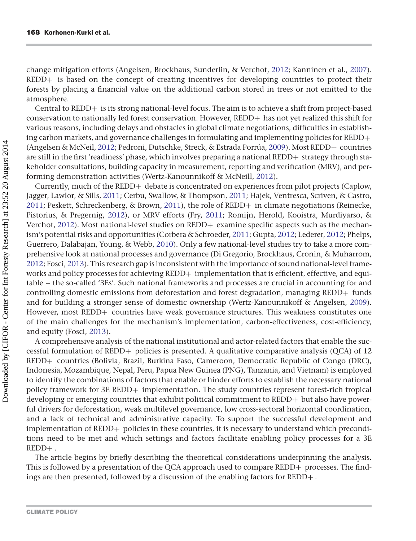change mitigation efforts (Angelsen, Brockhaus, Sunderlin, & Verchot, [2012;](#page-19-0) Kanninen et al., [2007\)](#page-20-0). REDD+ is based on the concept of creating incentives for developing countries to protect their forests by placing a financial value on the additional carbon stored in trees or not emitted to the atmosphere.

Central to REDD+ is its strong national-level focus. The aim is to achieve a shift from project-based conservation to nationally led forest conservation. However, REDD+ has not yet realized this shift for various reasons, including delays and obstacles in global climate negotiations, difficulties in establishing carbon markets, and governance challenges in formulating and implementing policies for REDD+ (Angelsen & McNeil, [2012;](#page-19-0) Pedroni, Dutschke, Streck, & Estrada Porrúa, [2009\)](#page-20-0). Most REDD+ countries are still in the first 'readiness' phase, which involves preparing a national REDD+ strategy through stakeholder consultations, building capacity in measurement, reporting and verification (MRV), and performing demonstration activities (Wertz-Kanounnikoff & McNeill, [2012](#page-21-0)).

Currently, much of the REDD+ debate is concentrated on experiences from pilot projects (Caplow, Jagger, Lawlor, & Sills, [2011;](#page-19-0) Cerbu, Swallow, & Thompson, [2011](#page-19-0); Hajek, Ventresca, Scriven, & Castro, [2011;](#page-20-0) Peskett, Schreckenberg, & Brown, [2011](#page-20-0)), the role of REDD+ in climate negotiations (Reinecke, Pistorius, & Pregernig, [2012\)](#page-20-0), or MRV efforts (Fry, [2011;](#page-20-0) Romijn, Herold, Kooistra, Murdiyarso, & Verchot, [2012\)](#page-21-0). Most national-level studies on REDD+ examine specific aspects such as the mechanism's potential risks and opportunities (Corbera & Schroeder, [2011](#page-19-0); Gupta, [2012;](#page-20-0) Lederer, [2012;](#page-20-0) Phelps, Guerrero, Dalabajan, Young, & Webb, [2010](#page-20-0)). Only a few national-level studies try to take a more comprehensive look at national processes and governance (Di Gregorio, Brockhaus, Cronin, & Muharrom, [2012;](#page-19-0) Fosci, [2013\)](#page-19-0). This research gap is inconsistent with the importance of sound national-level frameworks and policy processes for achieving REDD+ implementation that is efficient, effective, and equitable – the so-called '3Es'. Such national frameworks and processes are crucial in accounting for and controlling domestic emissions from deforestation and forest degradation, managing REDD+ funds and for building a stronger sense of domestic ownership (Wertz-Kanounnikoff & Angelsen, [2009\)](#page-21-0). However, most REDD+ countries have weak governance structures. This weakness constitutes one of the main challenges for the mechanism's implementation, carbon-effectiveness, cost-efficiency, and equity (Fosci, [2013\)](#page-19-0).

A comprehensive analysis of the national institutional and actor-related factors that enable the successful formulation of REDD+ policies is presented. A qualitative comparative analysis (QCA) of 12 REDD+ countries (Bolivia, Brazil, Burkina Faso, Cameroon, Democratic Republic of Congo (DRC), Indonesia, Mozambique, Nepal, Peru, Papua New Guinea (PNG), Tanzania, and Vietnam) is employed to identify the combinations of factors that enable or hinder efforts to establish the necessary national policy framework for 3E REDD+ implementation. The study countries represent forest-rich tropical developing or emerging countries that exhibit political commitment to REDD+ but also have powerful drivers for deforestation, weak multilevel governance, low cross-sectoral horizontal coordination, and a lack of technical and administrative capacity. To support the successful development and implementation of REDD+ policies in these countries, it is necessary to understand which preconditions need to be met and which settings and factors facilitate enabling policy processes for a 3E  $REDD+$ .

The article begins by briefly describing the theoretical considerations underpinning the analysis. This is followed by a presentation of the QCA approach used to compare REDD+ processes. The findings are then presented, followed by a discussion of the enabling factors for REDD+ .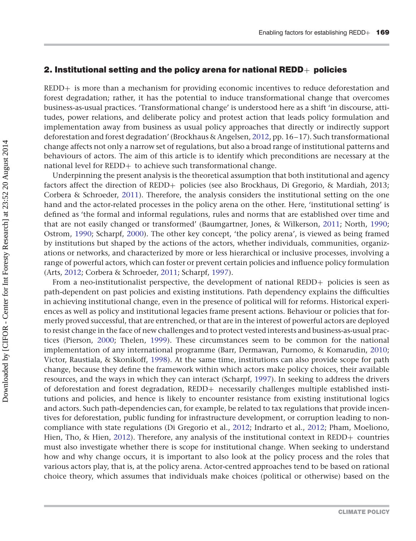## 2. Institutional setting and the policy arena for national  $\mathsf{REDD}\text{+}$  policies

REDD+ is more than a mechanism for providing economic incentives to reduce deforestation and forest degradation; rather, it has the potential to induce transformational change that overcomes business-as-usual practices. 'Transformational change' is understood here as a shift 'in discourse, attitudes, power relations, and deliberate policy and protest action that leads policy formulation and implementation away from business as usual policy approaches that directly or indirectly support deforestation and forest degradation' (Brockhaus & Angelsen, [2012,](#page-19-0) pp. 16 –17). Such transformational change affects not only a narrow set of regulations, but also a broad range of institutional patterns and behaviours of actors. The aim of this article is to identify which preconditions are necessary at the national level for REDD+ to achieve such transformational change.

Underpinning the present analysis is the theoretical assumption that both institutional and agency factors affect the direction of REDD+ policies (see also Brockhaus, Di Gregorio, & Mardiah, 2013; Corbera & Schroeder, [2011\)](#page-19-0). Therefore, the analysis considers the institutional setting on the one hand and the actor-related processes in the policy arena on the other. Here, 'institutional setting' is defined as 'the formal and informal regulations, rules and norms that are established over time and that are not easily changed or transformed' (Baumgartner, Jones, & Wilkerson, [2011;](#page-19-0) North, [1990;](#page-20-0) Ostrom, [1990](#page-20-0); Scharpf, [2000](#page-21-0)). The other key concept, 'the policy arena', is viewed as being framed by institutions but shaped by the actions of the actors, whether individuals, communities, organizations or networks, and characterized by more or less hierarchical or inclusive processes, involving a range of powerful actors, which can foster or prevent certain policies and influence policy formulation (Arts, [2012;](#page-19-0) Corbera & Schroeder, [2011;](#page-19-0) Scharpf, [1997\)](#page-21-0).

From a neo-institutionalist perspective, the development of national REDD+ policies is seen as path-dependent on past policies and existing institutions. Path dependency explains the difficulties in achieving institutional change, even in the presence of political will for reforms. Historical experiences as well as policy and institutional legacies frame present actions. Behaviour or policies that formerly proved successful, that are entrenched, or that are in the interest of powerful actors are deployed to resist change in the face of new challenges and to protect vested interests and business-as-usual practices (Pierson, [2000](#page-20-0); Thelen, [1999](#page-21-0)). These circumstances seem to be common for the national implementation of any international programme (Barr, Dermawan, Purnomo, & Komarudin, [2010;](#page-19-0) Victor, Raustiala, & Skonikoff, [1998\)](#page-21-0). At the same time, institutions can also provide scope for path change, because they define the framework within which actors make policy choices, their available resources, and the ways in which they can interact (Scharpf, [1997\)](#page-21-0). In seeking to address the drivers of deforestation and forest degradation, REDD+ necessarily challenges multiple established institutions and policies, and hence is likely to encounter resistance from existing institutional logics and actors. Such path-dependencies can, for example, be related to tax regulations that provide incentives for deforestation, public funding for infrastructure development, or corruption leading to noncompliance with state regulations (Di Gregorio et al., [2012;](#page-19-0) Indrarto et al., [2012](#page-20-0); Pham, Moeliono, Hien, Tho, & Hien, [2012](#page-20-0)). Therefore, any analysis of the institutional context in REDD+ countries must also investigate whether there is scope for institutional change. When seeking to understand how and why change occurs, it is important to also look at the policy process and the roles that various actors play, that is, at the policy arena. Actor-centred approaches tend to be based on rational choice theory, which assumes that individuals make choices (political or otherwise) based on the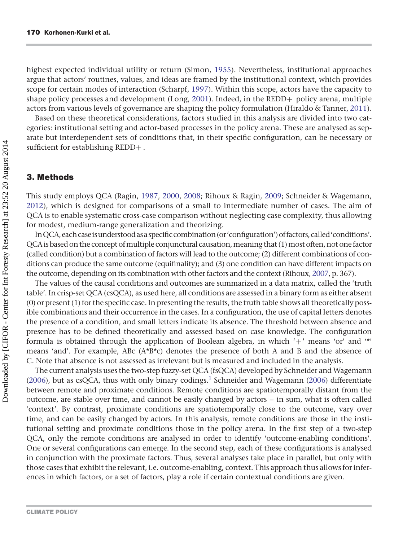highest expected individual utility or return (Simon, [1955\)](#page-21-0). Nevertheless, institutional approaches argue that actors' routines, values, and ideas are framed by the institutional context, which provides scope for certain modes of interaction (Scharpf, [1997](#page-21-0)). Within this scope, actors have the capacity to shape policy processes and development (Long, [2001](#page-20-0)). Indeed, in the REDD+ policy arena, multiple actors from various levels of governance are shaping the policy formulation (Hiraldo & Tanner, [2011\)](#page-20-0).

Based on these theoretical considerations, factors studied in this analysis are divided into two categories: institutional setting and actor-based processes in the policy arena. These are analysed as separate but interdependent sets of conditions that, in their specific configuration, can be necessary or sufficient for establishing REDD+ .

### 3. Methods

This study employs QCA (Ragin, [1987,](#page-20-0) [2000](#page-20-0), [2008;](#page-20-0) Rihoux & Ragin, [2009;](#page-20-0) Schneider & Wagemann, [2012\)](#page-21-0), which is designed for comparisons of a small to intermediate number of cases. The aim of QCA is to enable systematic cross-case comparison without neglecting case complexity, thus allowing for modest, medium-range generalization and theorizing.

In QCA, each case is understood as a specific combination (or 'configuration') of factors, called 'conditions'. QCA is based on the concept of multiple conjunctural causation, meaning that (1) most often, not one factor (called condition) but a combination of factors will lead to the outcome; (2) different combinations of conditions can produce the same outcome (equifinality); and (3) one condition can have different impacts on the outcome, depending on its combination with other factors and the context (Rihoux, [2007](#page-20-0), p. 367).

The values of the causal conditions and outcomes are summarized in a data matrix, called the 'truth table'. In crisp-set QCA (csQCA), as used here, all conditions are assessed in a binary form as either absent (0) or present (1) for the specific case. In presenting the results, the truth table shows all theoretically possible combinations and their occurrence in the cases. In a configuration, the use of capital letters denotes the presence of a condition, and small letters indicate its absence. The threshold between absence and presence has to be defined theoretically and assessed based on case knowledge. The configuration formula is obtained through the application of Boolean algebra, in which '+' means 'or' and '\*' means 'and'. For example, ABc (A\*B\*c) denotes the presence of both A and B and the absence of C. Note that absence is not assessed as irrelevant but is measured and included in the analysis.

The current analysis uses the two-step fuzzy-set QCA (fsQCA) developed by Schneider and Wagemann [\(2006\)](#page-21-0), but as csQCA, thus with only binary codings.<sup>[1](#page-19-0)</sup> Schneider and Wagemann ([2006](#page-21-0)) differentiate between remote and proximate conditions. Remote conditions are spatiotemporally distant from the outcome, are stable over time, and cannot be easily changed by actors – in sum, what is often called 'context'. By contrast, proximate conditions are spatiotemporally close to the outcome, vary over time, and can be easily changed by actors. In this analysis, remote conditions are those in the institutional setting and proximate conditions those in the policy arena. In the first step of a two-step QCA, only the remote conditions are analysed in order to identify 'outcome-enabling conditions'. One or several configurations can emerge. In the second step, each of these configurations is analysed in conjunction with the proximate factors. Thus, several analyses take place in parallel, but only with those cases that exhibit the relevant, i.e. outcome-enabling, context. This approach thus allows for inferences in which factors, or a set of factors, play a role if certain contextual conditions are given.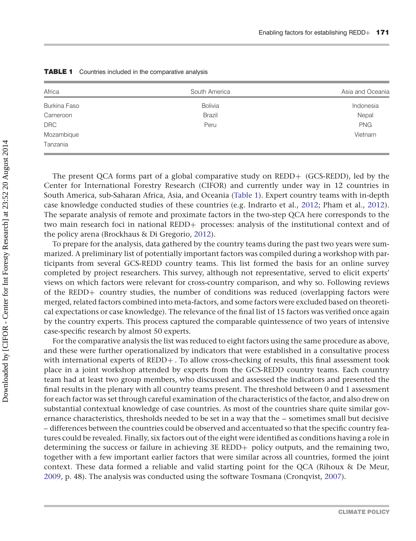| Africa       | South America  | Asia and Oceania |
|--------------|----------------|------------------|
| Burkina Faso | <b>Bolivia</b> | Indonesia        |
| Cameroon     | <b>Brazil</b>  | Nepal            |
| <b>DRC</b>   | Peru           | <b>PNG</b>       |
| Mozambique   |                | Vietnam          |
| Tanzania     |                |                  |

|  |  |  |  | TABLE 1 Countries included in the comparative analysis |  |
|--|--|--|--|--------------------------------------------------------|--|
|--|--|--|--|--------------------------------------------------------|--|

The present QCA forms part of a global comparative study on REDD+ (GCS-REDD), led by the Center for International Forestry Research (CIFOR) and currently under way in 12 countries in South America, sub-Saharan Africa, Asia, and Oceania (Table 1). Expert country teams with in-depth case knowledge conducted studies of these countries (e.g. Indrarto et al., [2012](#page-20-0); Pham et al., [2012\)](#page-20-0). The separate analysis of remote and proximate factors in the two-step QCA here corresponds to the two main research foci in national REDD+ processes: analysis of the institutional context and of the policy arena (Brockhaus & Di Gregorio, [2012\)](#page-19-0).

To prepare for the analysis, data gathered by the country teams during the past two years were summarized. A preliminary list of potentially important factors was compiled during a workshop with participants from several GCS-REDD country teams. This list formed the basis for an online survey completed by project researchers. This survey, although not representative, served to elicit experts' views on which factors were relevant for cross-country comparison, and why so. Following reviews of the REDD+ country studies, the number of conditions was reduced (overlapping factors were merged, related factors combined into meta-factors, and some factors were excluded based on theoretical expectations or case knowledge). The relevance of the final list of 15 factors was verified once again by the country experts. This process captured the comparable quintessence of two years of intensive case-specific research by almost 50 experts.

For the comparative analysis the list was reduced to eight factors using the same procedure as above, and these were further operationalized by indicators that were established in a consultative process with international experts of REDD+ . To allow cross-checking of results, this final assessment took place in a joint workshop attended by experts from the GCS-REDD country teams. Each country team had at least two group members, who discussed and assessed the indicators and presented the final results in the plenary with all country teams present. The threshold between 0 and 1 assessment for each factor was set through careful examination of the characteristics of the factor, and also drew on substantial contextual knowledge of case countries. As most of the countries share quite similar governance characteristics, thresholds needed to be set in a way that the – sometimes small but decisive – differences between the countries could be observed and accentuated so that the specific country features could be revealed. Finally, six factors out of the eight were identified as conditions having a role in determining the success or failure in achieving 3E REDD+ policy outputs, and the remaining two, together with a few important earlier factors that were similar across all countries, formed the joint context. These data formed a reliable and valid starting point for the QCA (Rihoux & De Meur, [2009,](#page-20-0) p. 48). The analysis was conducted using the software Tosmana (Cronqvist, [2007\)](#page-19-0).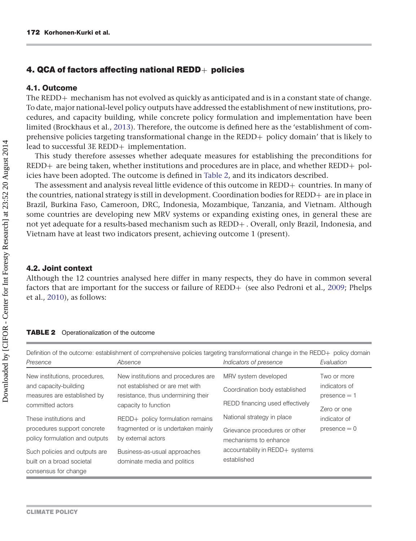## 4. QCA of factors affecting national  $\mathsf{REDD}\text{+}$  policies

#### 4.1. Outcome

The REDD+ mechanism has not evolved as quickly as anticipated and is in a constant state of change. To date, major national-level policy outputs have addressed the establishment of new institutions, procedures, and capacity building, while concrete policy formulation and implementation have been limited (Brockhaus et al., [2013](#page-19-0)). Therefore, the outcome is defined here as the 'establishment of comprehensive policies targeting transformational change in the REDD+ policy domain' that is likely to lead to successful 3E REDD+ implementation.

This study therefore assesses whether adequate measures for establishing the preconditions for REDD+ are being taken, whether institutions and procedures are in place, and whether REDD+ policies have been adopted. The outcome is defined in Table 2, and its indicators described.

The assessment and analysis reveal little evidence of this outcome in REDD+ countries. In many of the countries, national strategy is still in development. Coordination bodies for REDD+ are in place in Brazil, Burkina Faso, Cameroon, DRC, Indonesia, Mozambique, Tanzania, and Vietnam. Although some countries are developing new MRV systems or expanding existing ones, in general these are not yet adequate for a results-based mechanism such as REDD+ . Overall, only Brazil, Indonesia, and Vietnam have at least two indicators present, achieving outcome 1 (present).

### 4.2. Joint context

Although the 12 countries analysed here differ in many respects, they do have in common several factors that are important for the success or failure of REDD+ (see also Pedroni et al., [2009](#page-20-0); Phelps et al., [2010\)](#page-20-0), as follows:

| Definition of the outcome: establishment of comprehensive policies targeting transformational change in the REDD+ policy domain |                                                                                                                                      |                                                                                          |                                                               |  |  |
|---------------------------------------------------------------------------------------------------------------------------------|--------------------------------------------------------------------------------------------------------------------------------------|------------------------------------------------------------------------------------------|---------------------------------------------------------------|--|--|
| Presence                                                                                                                        | Absence                                                                                                                              | Indicators of presence                                                                   | Evaluation                                                    |  |  |
| New institutions, procedures,<br>and capacity-building<br>measures are established by<br>committed actors                       | New institutions and procedures are<br>not established or are met with<br>resistance, thus undermining their<br>capacity to function | MRV system developed<br>Coordination body established<br>REDD financing used effectively | Two or more<br>indicators of<br>$presence = 1$<br>Zero or one |  |  |
| These institutions and<br>procedures support concrete<br>policy formulation and outputs                                         | REDD+ policy formulation remains<br>fragmented or is undertaken mainly<br>by external actors                                         | National strategy in place<br>Grievance procedures or other<br>mechanisms to enhance     | indicator of<br>$presence = 0$                                |  |  |
| Such policies and outputs are<br>built on a broad societal<br>consensus for change                                              | Business-as-usual approaches<br>dominate media and politics                                                                          | accountability in REDD+ systems<br>established                                           |                                                               |  |  |

#### TABLE 2 Operationalization of the outcome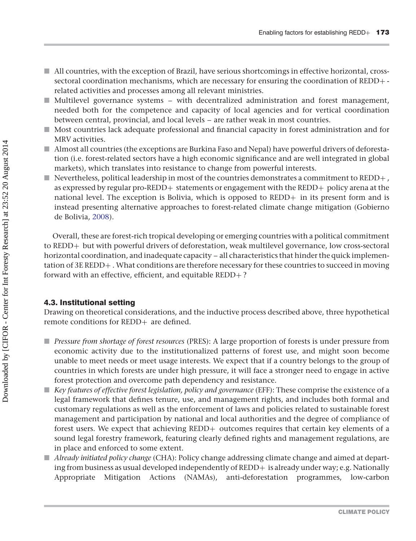- B All countries, with the exception of Brazil, have serious shortcomings in effective horizontal, crosssectoral coordination mechanisms, which are necessary for ensuring the coordination of REDD+ related activities and processes among all relevant ministries.
- B Multilevel governance systems with decentralized administration and forest management, needed both for the competence and capacity of local agencies and for vertical coordination between central, provincial, and local levels – are rather weak in most countries.
- B Most countries lack adequate professional and financial capacity in forest administration and for MRV activities.
- B Almost all countries (the exceptions are Burkina Faso and Nepal) have powerful drivers of deforestation (i.e. forest-related sectors have a high economic significance and are well integrated in global markets), which translates into resistance to change from powerful interests.
- $\blacksquare$  Nevertheless, political leadership in most of the countries demonstrates a commitment to REDD+, as expressed by regular pro-REDD+ statements or engagement with the REDD+ policy arena at the national level. The exception is Bolivia, which is opposed to REDD+ in its present form and is instead presenting alternative approaches to forest-related climate change mitigation (Gobierno de Bolivia, [2008\)](#page-20-0).

Overall, these are forest-rich tropical developing or emerging countries with a political commitment to REDD+ but with powerful drivers of deforestation, weak multilevel governance, low cross-sectoral horizontal coordination, and inadequate capacity – all characteristics that hinder the quick implementation of 3E REDD+ . What conditions are therefore necessary for these countries to succeed in moving forward with an effective, efficient, and equitable REDD+ ?

## 4.3. Institutional setting

Drawing on theoretical considerations, and the inductive process described above, three hypothetical remote conditions for REDD+ are defined.

- **B** Pressure from shortage of forest resources (PRES): A large proportion of forests is under pressure from economic activity due to the institutionalized patterns of forest use, and might soon become unable to meet needs or meet usage interests. We expect that if a country belongs to the group of countries in which forests are under high pressure, it will face a stronger need to engage in active forest protection and overcome path dependency and resistance.
- B Key features of effective forest legislation, policy and governance (EFF): These comprise the existence of a legal framework that defines tenure, use, and management rights, and includes both formal and customary regulations as well as the enforcement of laws and policies related to sustainable forest management and participation by national and local authorities and the degree of compliance of forest users. We expect that achieving REDD+ outcomes requires that certain key elements of a sound legal forestry framework, featuring clearly defined rights and management regulations, are in place and enforced to some extent.
- **B** Already initiated policy change (CHA): Policy change addressing climate change and aimed at departing from business as usual developed independently of REDD+ is already under way; e.g. Nationally<br>Appropriate Mitigation Actions (NAMAs), anti-deforestation programmes, low-carbon Appropriate Mitigation Actions (NAMAs),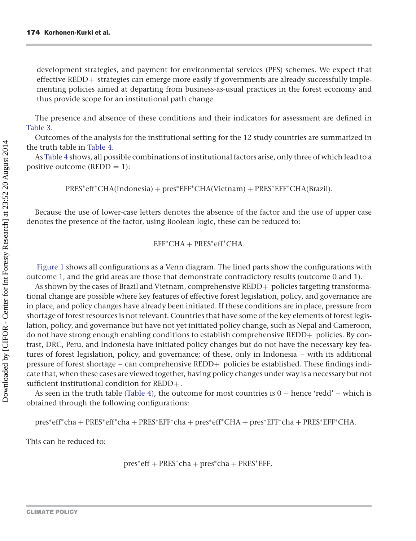development strategies, and payment for environmental services (PES) schemes. We expect that effective REDD+ strategies can emerge more easily if governments are already successfully implementing policies aimed at departing from business-as-usual practices in the forest economy and thus provide scope for an institutional path change.

The presence and absence of these conditions and their indicators for assessment are defined in [Table 3](#page-10-0).

Outcomes of the analysis for the institutional setting for the 12 study countries are summarized in the truth table in [Table 4](#page-11-0).

As [Table 4](#page-11-0) shows, all possible combinations of institutional factors arise, only three of which lead to a positive outcome ( $REDD = 1$ ):

PRES\*eff\*CHA(Indonesia) + pres\*EFF\*CHA(Vietnam) + PRES\*EFF\*CHA(Brazil).

Because the use of lower-case letters denotes the absence of the factor and the use of upper case denotes the presence of the factor, using Boolean logic, these can be reduced to:

EFF<sup>∗</sup> CHA + PRES<sup>∗</sup> eff<sup>∗</sup> CHA.

[Figure 1](#page-11-0) shows all configurations as a Venn diagram. The lined parts show the configurations with outcome 1, and the grid areas are those that demonstrate contradictory results (outcome 0 and 1).

As shown by the cases of Brazil and Vietnam, comprehensive REDD+ policies targeting transformational change are possible where key features of effective forest legislation, policy, and governance are in place, and policy changes have already been initiated. If these conditions are in place, pressure from shortage of forest resources is not relevant. Countries that have some of the key elements of forest legislation, policy, and governance but have not yet initiated policy change, such as Nepal and Cameroon, do not have strong enough enabling conditions to establish comprehensive REDD+ policies. By contrast, DRC, Peru, and Indonesia have initiated policy changes but do not have the necessary key features of forest legislation, policy, and governance; of these, only in Indonesia – with its additional pressure of forest shortage – can comprehensive REDD+ policies be established. These findings indicate that, when these cases are viewed together, having policy changes under way is a necessary but not sufficient institutional condition for REDD+ .

As seen in the truth table ([Table 4](#page-11-0)), the outcome for most countries is  $0$  – hence 'redd' – which is obtained through the following configurations:

pres\*eff\*cha + PRES\*eff\*cha + PRES\*EFF\*cha + pres\*eff\*CHA + pres\*EFF\*cha + PRES\*EFF\*CHA.

This can be reduced to:

$$
pres*eff + PRES*cha + pres*cha + PRES*EFF,
$$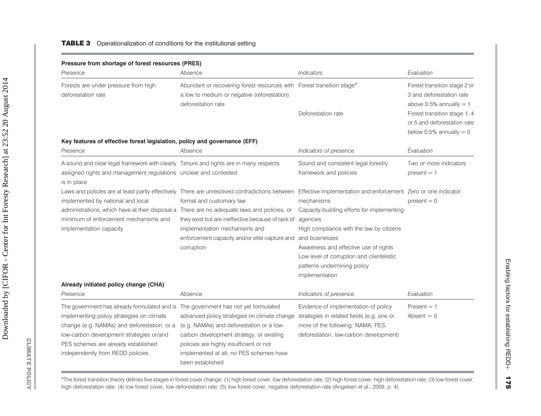#### <span id="page-10-0"></span>**TABLE 3** Operationalization of conditions for the institutional setting

| Pressure from shortage of forest resources (PRES)                                                                                                                        |                                                                                                                                                        |                                                                |                                                                                          |
|--------------------------------------------------------------------------------------------------------------------------------------------------------------------------|--------------------------------------------------------------------------------------------------------------------------------------------------------|----------------------------------------------------------------|------------------------------------------------------------------------------------------|
| Presence                                                                                                                                                                 | Absence                                                                                                                                                | <b>Indicators</b>                                              | Evaluation                                                                               |
| Forests are under pressure from high<br>deforestation rate                                                                                                               | Abundant or recovering forest resources with Forest transition stage <sup>a</sup><br>a low to medium or negative (reforestation)<br>deforestation rate |                                                                | Forest transition stage 2 or<br>3 and deforestation rate<br>above $0.5\%$ annually = 1   |
|                                                                                                                                                                          |                                                                                                                                                        | Deforestation rate                                             | Forest transition stage 1, 4<br>or 5 and deforestation rate<br>below 0.5% annually $= 0$ |
| Key features of effective forest legislation, policy and governance (EFF)                                                                                                |                                                                                                                                                        |                                                                |                                                                                          |
| Presence                                                                                                                                                                 | Absence                                                                                                                                                | Indicators of presence                                         | Evaluation                                                                               |
| A sound and clear legal framework with clearly Tenure and rights are in many respects<br>assigned rights and management regulations unclear and contested<br>is in place |                                                                                                                                                        | Sound and consistent legal forestry<br>framework and policies  | Two or more indicators<br>$present = 1$                                                  |
|                                                                                                                                                                          | Laws and policies are at least partly effectively There are unresolved contradictions between                                                          | Effective implementation and enforcement Zero or one indicator |                                                                                          |
| implemented by national and local                                                                                                                                        | formal and customary law                                                                                                                               | mechanisms                                                     | $present = 0$                                                                            |
| administrations, which have at their disposal a There are no adequate laws and policies, or                                                                              |                                                                                                                                                        | Capacity-building efforts for implementing                     |                                                                                          |
| minimum of enforcement mechanisms and                                                                                                                                    | they exist but are ineffective because of lack of agencies                                                                                             |                                                                |                                                                                          |
| implementation capacity                                                                                                                                                  | implementation mechanisms and                                                                                                                          | High compliance with the law by citizens                       |                                                                                          |
|                                                                                                                                                                          | enforcement capacity and/or elite capture and                                                                                                          | and businesses                                                 |                                                                                          |
|                                                                                                                                                                          | corruption                                                                                                                                             | Awareness and effective use of rights                          |                                                                                          |
|                                                                                                                                                                          |                                                                                                                                                        | Low level of corruption and clientelistic                      |                                                                                          |
|                                                                                                                                                                          |                                                                                                                                                        | patterns undermining policy                                    |                                                                                          |
|                                                                                                                                                                          |                                                                                                                                                        | implementation                                                 |                                                                                          |
| Already initiated policy change (CHA)<br>Presence                                                                                                                        | Absence                                                                                                                                                | Indicators of presence                                         | Evaluation                                                                               |
| The government has already formulated and is The government has not yet formulated                                                                                       |                                                                                                                                                        | Evidence of implementation of policy                           | $Present = 1$                                                                            |
| implementing policy strategies on climate                                                                                                                                | advanced policy strategies on climate change                                                                                                           | strategies in related fields (e.g. one or                      | Absent $= 0$                                                                             |
| change (e.g. NAMAs) and deforestation, or a                                                                                                                              | (e.g. NAMAs) and deforestation or a low-                                                                                                               | more of the following: NAMA, PES,                              |                                                                                          |
| low-carbon development strategies or/and                                                                                                                                 | carbon development strategy, or existing                                                                                                               | deforestation, low-carbon development)                         |                                                                                          |
| PES schemes are already established                                                                                                                                      | policies are highly insufficient or not                                                                                                                |                                                                |                                                                                          |
| independently from REDD policies                                                                                                                                         | implemented at all; no PES schemes have                                                                                                                |                                                                |                                                                                          |
|                                                                                                                                                                          | been established                                                                                                                                       |                                                                |                                                                                          |

#### <sup>a</sup>The forest transition theory defines five stages in forest cover change: (1) high forest cover, low deforestation rate; (2) high forest cover, high deforestation rate; (3) low forest cover, high deforestation rate; (4) low forest cover, low deforestation rate; (5) low forest cover, negative deforestation rate (Angelsen et al., 2009, p. 4).

<u> 1989 - Johann Stoff, deutscher Stoffen und der Stoffen und der Stoffen und der Stoffen und der Stoffen und der</u>

CLIMATE POLICY

CLIMATE POLICY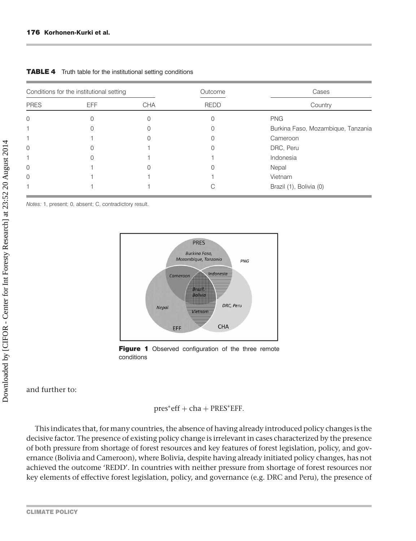| Conditions for the institutional setting |            |            | Outcome     | Cases                              |
|------------------------------------------|------------|------------|-------------|------------------------------------|
| <b>PRES</b>                              | <b>EFF</b> | <b>CHA</b> | <b>REDD</b> | Country                            |
| $\mathbf 0$                              |            |            |             | <b>PNG</b>                         |
|                                          |            |            |             | Burkina Faso, Mozambique, Tanzania |
|                                          |            |            |             | Cameroon                           |
| 0                                        |            |            |             | DRC, Peru                          |
|                                          |            |            |             | Indonesia                          |
| 0                                        |            |            |             | Nepal                              |
| $\mathbf 0$                              |            |            |             | Vietnam                            |
|                                          |            |            |             | Brazil (1), Bolivia (0)            |

<span id="page-11-0"></span>TABLE 4 Truth table for the institutional setting conditions

Notes: 1, present; 0, absent; C, contradictory result.



Figure 1 Observed configuration of the three remote conditions

and further to:

$$
pres^*eff + cha + PRES^*EFF.
$$

This indicates that, for many countries, the absence of having already introduced policy changes is the decisive factor. The presence of existing policy change is irrelevant in cases characterized by the presence of both pressure from shortage of forest resources and key features of forest legislation, policy, and governance (Bolivia and Cameroon), where Bolivia, despite having already initiated policy changes, has not achieved the outcome 'REDD'. In countries with neither pressure from shortage of forest resources nor key elements of effective forest legislation, policy, and governance (e.g. DRC and Peru), the presence of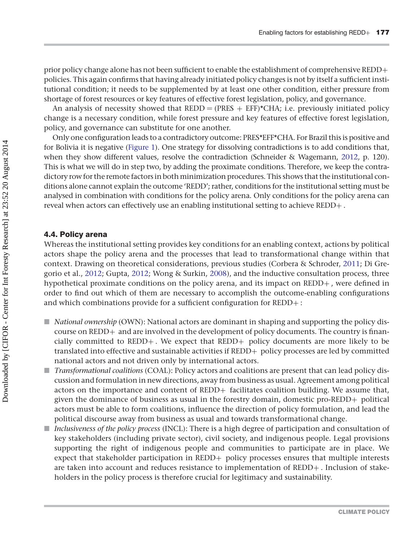prior policy change alone has not been sufficient to enable the establishment of comprehensive REDD+ policies. This again confirms that having already initiated policy changes is not by itself a sufficient institutional condition; it needs to be supplemented by at least one other condition, either pressure from shortage of forest resources or key features of effective forest legislation, policy, and governance.

An analysis of necessity showed that  $REDD = (PRES + EFF)^*CHA$ ; i.e. previously initiated policy change is a necessary condition, while forest pressure and key features of effective forest legislation, policy, and governance can substitute for one another.

Only one configuration leads to a contradictory outcome: PRES\*EFF\*CHA. For Brazil this is positive and for Bolivia it is negative [\(Figure 1\)](#page-11-0). One strategy for dissolving contradictions is to add conditions that, when they show different values, resolve the contradiction (Schneider & Wagemann, [2012](#page-21-0), p. 120). This is what we will do in step two, by adding the proximate conditions. Therefore, we keep the contradictory row for the remote factors in both minimization procedures. This shows that the institutional conditions alone cannot explain the outcome 'REDD'; rather, conditions for the institutional setting must be analysed in combination with conditions for the policy arena. Only conditions for the policy arena can reveal when actors can effectively use an enabling institutional setting to achieve REDD+ .

## 4.4. Policy arena

Whereas the institutional setting provides key conditions for an enabling context, actions by political actors shape the policy arena and the processes that lead to transformational change within that context. Drawing on theoretical considerations, previous studies (Corbera & Schroder, [2011;](#page-19-0) Di Gregorio et al., [2012](#page-19-0); Gupta, [2012](#page-20-0); Wong & Surkin, [2008](#page-21-0)), and the inductive consultation process, three hypothetical proximate conditions on the policy arena, and its impact on REDD+ , were defined in order to find out which of them are necessary to accomplish the outcome-enabling configurations and which combinations provide for a sufficient configuration for REDD+ :

- B National ownership (OWN): National actors are dominant in shaping and supporting the policy discourse on REDD+ and are involved in the development of policy documents. The country is financially committed to REDD+ . We expect that REDD+ policy documents are more likely to be translated into effective and sustainable activities if REDD+ policy processes are led by committed national actors and not driven only by international actors.
- **B** Transformational coalitions (COAL): Policy actors and coalitions are present that can lead policy discussion and formulation in new directions, away from business as usual. Agreement among political actors on the importance and content of REDD+ facilitates coalition building. We assume that, given the dominance of business as usual in the forestry domain, domestic pro-REDD+ political actors must be able to form coalitions, influence the direction of policy formulation, and lead the political discourse away from business as usual and towards transformational change.
- **B** Inclusiveness of the policy process (INCL): There is a high degree of participation and consultation of key stakeholders (including private sector), civil society, and indigenous people. Legal provisions supporting the right of indigenous people and communities to participate are in place. We expect that stakeholder participation in REDD+ policy processes ensures that multiple interests are taken into account and reduces resistance to implementation of REDD+ . Inclusion of stakeholders in the policy process is therefore crucial for legitimacy and sustainability.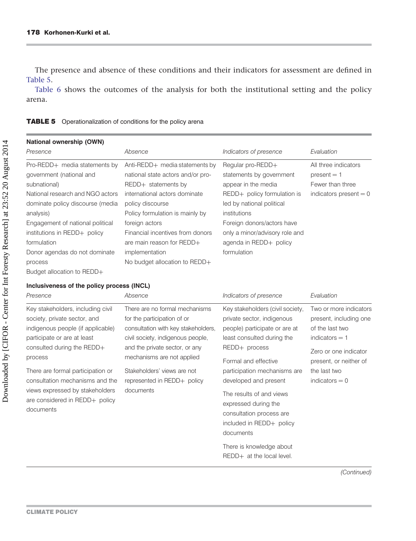The presence and absence of these conditions and their indicators for assessment are defined in Table 5.

[Table 6](#page-15-0) shows the outcomes of the analysis for both the institutional setting and the policy arena.

|  | TABLE 5 Operationalization of conditions for the policy arena |  |  |
|--|---------------------------------------------------------------|--|--|
|--|---------------------------------------------------------------|--|--|

| National ownership (OWN) |
|--------------------------|
|--------------------------|

| <b>National Ownership (OWN)</b>  |                                   |                                |                          |  |
|----------------------------------|-----------------------------------|--------------------------------|--------------------------|--|
| Presence                         | Absence                           | Indicators of presence         | Evaluation               |  |
| Pro-REDD+ media statements by    | Anti-REDD+ media statements by    | Regular pro-REDD+              | All three indicators     |  |
| government (national and         | national state actors and/or pro- | statements by government       | $present = 1$            |  |
| subnational)                     | REDD+ statements by               | appear in the media            | Fewer than three         |  |
| National research and NGO actors | international actors dominate     | REDD+ policy formulation is    | indicators present $= 0$ |  |
| dominate policy discourse (media | policy discourse                  | led by national political      |                          |  |
| analysis)                        | Policy formulation is mainly by   | institutions                   |                          |  |
| Engagement of national political | foreign actors                    | Foreign donors/actors have     |                          |  |
| institutions in REDD+ policy     | Financial incentives from donors  | only a minor/advisory role and |                          |  |
| formulation                      | are main reason for REDD+         | agenda in REDD+ policy         |                          |  |
| Donor agendas do not dominate    | implementation                    | formulation                    |                          |  |
| process                          | No budget allocation to REDD+     |                                |                          |  |
| Budget allocation to REDD+       |                                   |                                |                          |  |

Inclusiveness of the policy process (INCL)

| Presence                                                                                                          | Absence                                  | Indicators of presence                                                                                                | Evaluation             |
|-------------------------------------------------------------------------------------------------------------------|------------------------------------------|-----------------------------------------------------------------------------------------------------------------------|------------------------|
| Key stakeholders, including civil                                                                                 | There are no formal mechanisms           | Key stakeholders (civil society,                                                                                      | Two or more indicators |
| society, private sector, and                                                                                      | for the participation of or              | private sector, indigenous                                                                                            | present, including one |
| indigenous people (if applicable)                                                                                 | consultation with key stakeholders,      | people) participate or are at                                                                                         | of the last two        |
| participate or are at least                                                                                       | civil society, indigenous people,        | least consulted during the                                                                                            | indicators $=$ 1       |
| consulted during the REDD+                                                                                        | and the private sector, or any           | REDD+ process                                                                                                         | Zero or one indicator  |
| process                                                                                                           | mechanisms are not applied               | Formal and effective                                                                                                  | present, or neither of |
| There are formal participation or                                                                                 | Stakeholders' views are not              | participation mechanisms are                                                                                          | the last two           |
| consultation mechanisms and the<br>views expressed by stakeholders<br>are considered in REDD+ policy<br>documents | represented in REDD+ policy<br>documents | developed and present                                                                                                 | $indicators = 0$       |
|                                                                                                                   |                                          | The results of and views<br>expressed during the<br>consultation process are<br>included in REDD+ policy<br>documents |                        |
|                                                                                                                   |                                          | There is knowledge about<br>REDD+ at the local level.                                                                 |                        |

(Continued)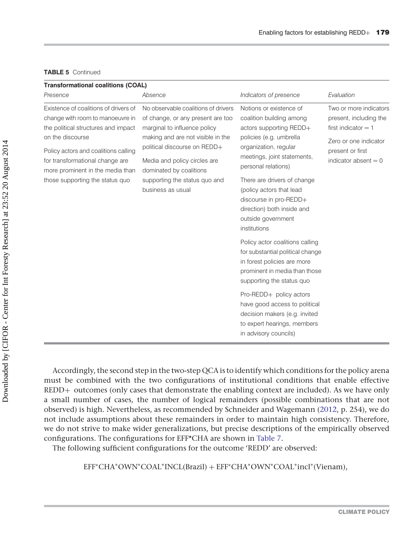#### TABLE 5 Continued

| <b>Transformational coalitions (COAL)</b>                                                                                                                                                                                                                                              |                                                                                                                                                                                                                                                                                                |                                                                                                                                                                                                                                                                                                                                                   |                                                                                                                                                  |  |  |  |
|----------------------------------------------------------------------------------------------------------------------------------------------------------------------------------------------------------------------------------------------------------------------------------------|------------------------------------------------------------------------------------------------------------------------------------------------------------------------------------------------------------------------------------------------------------------------------------------------|---------------------------------------------------------------------------------------------------------------------------------------------------------------------------------------------------------------------------------------------------------------------------------------------------------------------------------------------------|--------------------------------------------------------------------------------------------------------------------------------------------------|--|--|--|
| Presence                                                                                                                                                                                                                                                                               | Absence                                                                                                                                                                                                                                                                                        | Indicators of presence                                                                                                                                                                                                                                                                                                                            | Evaluation                                                                                                                                       |  |  |  |
| Existence of coalitions of drivers of<br>change with room to manoeuvre in<br>the political structures and impact<br>on the discourse<br>Policy actors and coalitions calling<br>for transformational change are<br>more prominent in the media than<br>those supporting the status quo | No observable coalitions of drivers<br>of change, or any present are too<br>marginal to influence policy<br>making and are not visible in the<br>political discourse on REDD+<br>Media and policy circles are<br>dominated by coalitions<br>supporting the status quo and<br>business as usual | Notions or existence of<br>coalition building among<br>actors supporting REDD+<br>policies (e.g. umbrella<br>organization, regular<br>meetings, joint statements,<br>personal relations)<br>There are drivers of change<br>(policy actors that lead<br>discourse in pro-REDD+<br>direction) both inside and<br>outside government<br>institutions | Two or more indicators<br>present, including the<br>first indicator $= 1$<br>Zero or one indicator<br>present or first<br>indicator absent $= 0$ |  |  |  |
|                                                                                                                                                                                                                                                                                        |                                                                                                                                                                                                                                                                                                | Policy actor coalitions calling<br>for substantial political change<br>in forest policies are more<br>prominent in media than those<br>supporting the status quo<br>Pro-REDD+ policy actors<br>have good access to political<br>decision makers (e.g. invited<br>to expert hearings, members<br>in advisory councils)                             |                                                                                                                                                  |  |  |  |

Accordingly, the second step in the two-step QCA is to identify which conditions for the policy arena must be combined with the two configurations of institutional conditions that enable effective REDD+ outcomes (only cases that demonstrate the enabling context are included). As we have only a small number of cases, the number of logical remainders (possible combinations that are not observed) is high. Nevertheless, as recommended by Schneider and Wagemann [\(2012,](#page-21-0) p. 254), we do not include assumptions about these remainders in order to maintain high consistency. Therefore, we do not strive to make wider generalizations, but precise descriptions of the empirically observed configurations. The configurations for EFF\*CHA are shown in [Table 7](#page-15-0).

The following sufficient configurations for the outcome 'REDD' are observed:

EFF\*CHA\*OWN\*COAL\*INCL(Brazil) + EFF\*CHA\*OWN\*COAL\*incl\*(Vienam),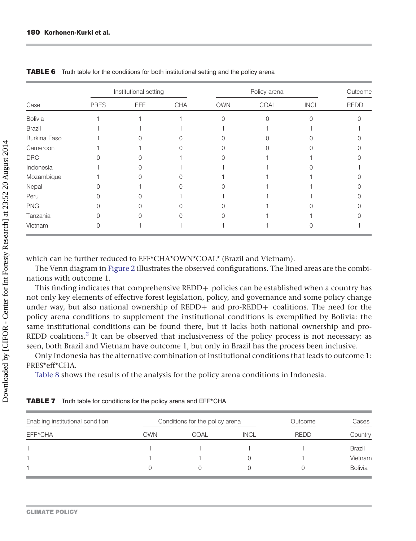|                |      | Institutional setting |     | Policy arena |      |             | Outcome     |
|----------------|------|-----------------------|-----|--------------|------|-------------|-------------|
| Case           | PRES | EFF                   | CHA | <b>OWN</b>   | COAL | <b>INCL</b> | <b>REDD</b> |
| <b>Bolivia</b> |      |                       |     |              |      |             |             |
| Brazil         |      |                       |     |              |      |             |             |
| Burkina Faso   |      |                       |     |              |      |             |             |
| Cameroon       |      |                       |     |              |      |             |             |
| <b>DRC</b>     |      |                       |     |              |      |             |             |
| Indonesia      |      |                       |     |              |      |             |             |
| Mozambique     |      |                       |     |              |      |             |             |
| Nepal          |      |                       |     |              |      |             |             |
| Peru           |      |                       |     |              |      |             |             |
| <b>PNG</b>     |      |                       |     |              |      |             |             |
| Tanzania       |      |                       |     |              |      |             |             |
| Vietnam        |      |                       |     |              |      |             |             |

<span id="page-15-0"></span>**TABLE 6** Truth table for the conditions for both institutional setting and the policy arena

which can be further reduced to EFF\*CHA\*OWN\*COAL\* (Brazil and Vietnam).

The Venn diagram in [Figure 2](#page-16-0) illustrates the observed configurations. The lined areas are the combinations with outcome 1.

This finding indicates that comprehensive REDD+ policies can be established when a country has not only key elements of effective forest legislation, policy, and governance and some policy change under way, but also national ownership of REDD+ and pro-REDD+ coalitions. The need for the policy arena conditions to supplement the institutional conditions is exemplified by Bolivia: the same institutional conditions can be found there, but it lacks both national ownership and pro-REDD coalitions.<sup>[2](#page-19-0)</sup> It can be observed that inclusiveness of the policy process is not necessary: as seen, both Brazil and Vietnam have outcome 1, but only in Brazil has the process been inclusive.

Only Indonesia has the alternative combination of institutional conditions that leads to outcome 1: PRES\*eff\*CHA.

[Table 8](#page-16-0) shows the results of the analysis for the policy arena conditions in Indonesia.

| Enabling institutional condition<br>EFF*CHA | Conditions for the policy arena |      |             | Outcome     | Cases          |
|---------------------------------------------|---------------------------------|------|-------------|-------------|----------------|
|                                             | OWN                             | COAL | <b>INCL</b> | <b>REDD</b> | Country        |
|                                             |                                 |      |             |             | Brazil         |
|                                             |                                 |      |             |             | Vietnam        |
|                                             |                                 |      |             |             | <b>Bolivia</b> |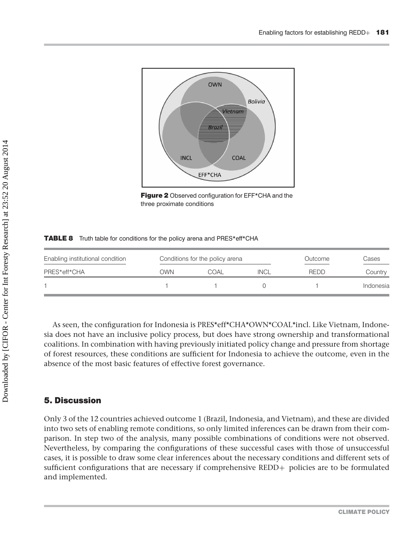<span id="page-16-0"></span>

Figure 2 Observed configuration for EFF\*CHA and the three proximate conditions

TABLE 8 Truth table for conditions for the policy arena and PRES\*eff\*CHA

| Enabling institutional condition | Conditions for the policy arena |      |             | Outcome     | Cases     |
|----------------------------------|---------------------------------|------|-------------|-------------|-----------|
| PRES*eff*CHA                     | OWN                             | COAL | <b>INCL</b> | <b>REDD</b> | Country   |
|                                  |                                 |      |             |             | Indonesia |

As seen, the configuration for Indonesia is PRES\*eff\*CHA\*OWN\*COAL\*incl. Like Vietnam, Indonesia does not have an inclusive policy process, but does have strong ownership and transformational coalitions. In combination with having previously initiated policy change and pressure from shortage of forest resources, these conditions are sufficient for Indonesia to achieve the outcome, even in the absence of the most basic features of effective forest governance.

## 5. Discussion

Only 3 of the 12 countries achieved outcome 1 (Brazil, Indonesia, and Vietnam), and these are divided into two sets of enabling remote conditions, so only limited inferences can be drawn from their comparison. In step two of the analysis, many possible combinations of conditions were not observed. Nevertheless, by comparing the configurations of these successful cases with those of unsuccessful cases, it is possible to draw some clear inferences about the necessary conditions and different sets of sufficient configurations that are necessary if comprehensive REDD+ policies are to be formulated and implemented.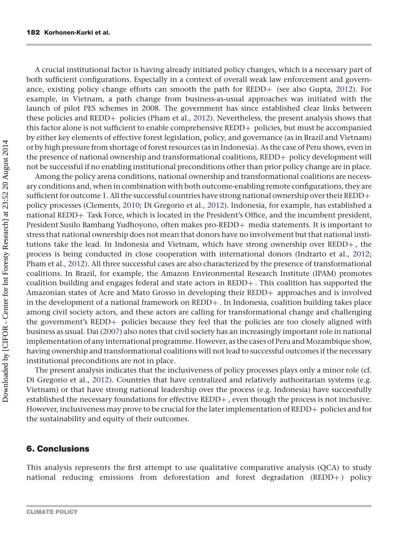A crucial institutional factor is having already initiated policy changes, which is a necessary part of both sufficient configurations. Especially in a context of overall weak law enforcement and governance, existing policy change efforts can smooth the path for REDD+ (see also Gupta, [2012\)](#page-20-0). For example, in Vietnam, a path change from business-as-usual approaches was initiated with the launch of pilot PES schemes in 2008. The government has since established clear links between these policies and REDD+ policies (Pham et al., [2012\)](#page-20-0). Nevertheless, the present analysis shows that this factor alone is not sufficient to enable comprehensive REDD+ policies, but must be accompanied by either key elements of effective forest legislation, policy, and governance (as in Brazil and Vietnam) or by high pressure from shortage of forest resources (as in Indonesia). As the case of Peru shows, even in the presence of national ownership and transformational coalitions, REDD+ policy development will not be successful if no enabling institutional preconditions other than prior policy change are in place.

Among the policy arena conditions, national ownership and transformational coalitions are necessary conditions and, when in combination with both outcome-enabling remote configurations, they are sufficient for outcome 1. All the successful countries have strong national ownership over their REDD+ policy processes (Clements, [2010](#page-19-0); Di Gregorio et al., [2012\)](#page-19-0). Indonesia, for example, has established a national REDD+ Task Force, which is located in the President's Office, and the incumbent president, President Susilo Bambang Yudhoyono, often makes pro-REDD+ media statements. It is important to stress that national ownership does not mean that donors have no involvement but that national institutions take the lead. In Indonesia and Vietnam, which have strong ownership over REDD+ , the process is being conducted in close cooperation with international donors (Indrarto et al., [2012](#page-20-0); Pham et al., [2012](#page-20-0)). All three successful cases are also characterized by the presence of transformational coalitions. In Brazil, for example, the Amazon Environmental Research Institute (IPAM) promotes coalition building and engages federal and state actors in REDD+ . This coalition has supported the Amazonian states of Acre and Mato Grosso in developing their REDD+ approaches and is involved in the development of a national framework on REDD+. In Indonesia, coalition building takes place among civil society actors, and these actors are calling for transformational change and challenging the government's REDD+ policies because they feel that the policies are too closely aligned with business as usual. Dai [\(2007](#page-19-0)) also notes that civil society has an increasingly important role in national implementation of any international programme. However, as the cases of Peru and Mozambique show, having ownership and transformational coalitions will not lead to successful outcomes if the necessary institutional preconditions are not in place.

The present analysis indicates that the inclusiveness of policy processes plays only a minor role (cf. Di Gregorio et al., [2012\)](#page-19-0). Countries that have centralized and relatively authoritarian systems (e.g. Vietnam) or that have strong national leadership over the process (e.g. Indonesia) have successfully established the necessary foundations for effective REDD+ , even though the process is not inclusive. However, inclusiveness may prove to be crucial for the later implementation of REDD+ policies and for the sustainability and equity of their outcomes.

## 6. Conclusions

This analysis represents the first attempt to use qualitative comparative analysis (QCA) to study national reducing emissions from deforestation and forest degradation  $(REDD+)$  policy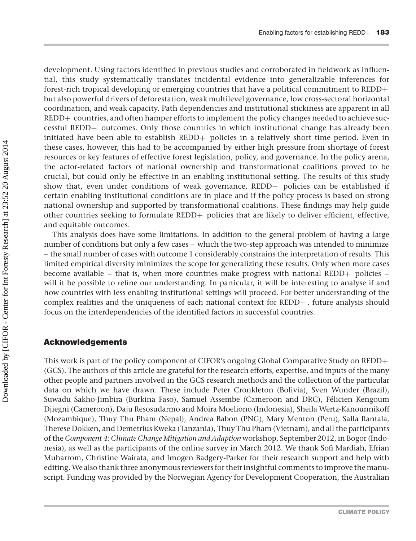development. Using factors identified in previous studies and corroborated in fieldwork as influential, this study systematically translates incidental evidence into generalizable inferences for forest-rich tropical developing or emerging countries that have a political commitment to REDD+ but also powerful drivers of deforestation, weak multilevel governance, low cross-sectoral horizontal coordination, and weak capacity. Path dependencies and institutional stickiness are apparent in all REDD+ countries, and often hamper efforts to implement the policy changes needed to achieve successful REDD+ outcomes. Only those countries in which institutional change has already been initiated have been able to establish REDD+ policies in a relatively short time period. Even in these cases, however, this had to be accompanied by either high pressure from shortage of forest resources or key features of effective forest legislation, policy, and governance. In the policy arena, the actor-related factors of national ownership and transformational coalitions proved to be crucial, but could only be effective in an enabling institutional setting. The results of this study show that, even under conditions of weak governance, REDD+ policies can be established if certain enabling institutional conditions are in place and if the policy process is based on strong national ownership and supported by transformational coalitions. These findings may help guide other countries seeking to formulate REDD+ policies that are likely to deliver efficient, effective, and equitable outcomes.

This analysis does have some limitations. In addition to the general problem of having a large number of conditions but only a few cases – which the two-step approach was intended to minimize – the small number of cases with outcome 1 considerably constrains the interpretation of results. This limited empirical diversity minimizes the scope for generalizing these results. Only when more cases become available – that is, when more countries make progress with national REDD+ policies – will it be possible to refine our understanding. In particular, it will be interesting to analyse if and how countries with less enabling institutional settings will proceed. For better understanding of the complex realities and the uniqueness of each national context for REDD+ , future analysis should focus on the interdependencies of the identified factors in successful countries.

### Acknowledgements

This work is part of the policy component of CIFOR's ongoing Global Comparative Study on REDD+ (GCS). The authors of this article are grateful for the research efforts, expertise, and inputs of the many other people and partners involved in the GCS research methods and the collection of the particular data on which we have drawn. These include Peter Cronkleton (Bolivia), Sven Wunder (Brazil), Suwadu Sakho-Jimbira (Burkina Faso), Samuel Assembe (Cameroon and DRC), Félicien Kengoum Djiegni (Cameroon), Daju Resosudarmo and Moira Moeliono (Indonesia), Sheila Wertz-Kanounnikoff (Mozambique), Thuy Thu Pham (Nepal), Andrea Babon (PNG), Mary Menton (Peru), Salla Rantala, Therese Dokken, and Demetrius Kweka (Tanzania), Thuy Thu Pham (Vietnam), and all the participants of the Component 4: Climate Change Mitigation and Adaption workshop, September 2012, in Bogor (Indonesia), as well as the participants of the online survey in March 2012. We thank Sofi Mardiah, Efrian Muharrom, Christine Wairata, and Imogen Badgery-Parker for their research support and help with editing. We also thank three anonymous reviewers for their insightful comments to improve the manuscript. Funding was provided by the Norwegian Agency for Development Cooperation, the Australian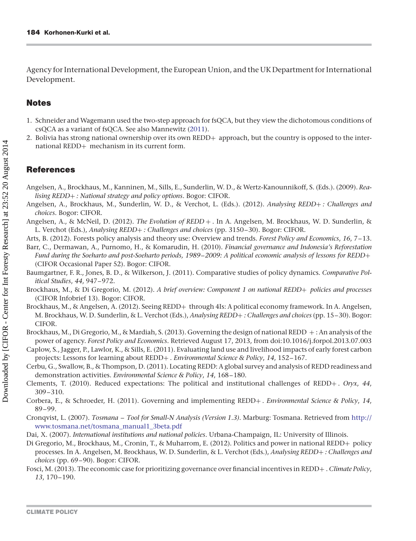<span id="page-19-0"></span>Agency for International Development, the European Union, and the UK Department for International Development.

## Notes

- 1. Schneider and Wagemann used the two-step approach for fsQCA, but they view the dichotomous conditions of csQCA as a variant of fsQCA. See also Mannewitz ([2011](#page-20-0)).
- 2. Bolivia has strong national ownership over its own REDD+ approach, but the country is opposed to the international REDD+ mechanism in its current form.

## **References**

- Angelsen, A., Brockhaus, M., Kanninen, M., Sills, E., Sunderlin, W. D., & Wertz-Kanounnikoff, S. (Eds.). (2009). Realising REDD+ : National strategy and policy options. Bogor: CIFOR.
- Angelsen, A., Brockhaus, M., Sunderlin, W. D., & Verchot, L. (Eds.). (2012). Analysing REDD+ : Challenges and choices. Bogor: CIFOR.
- Angelsen, A., & McNeil, D. (2012). The Evolution of REDD + . In A. Angelsen, M. Brockhaus, W. D. Sunderlin, & L. Verchot (Eds.), Analysing REDD+ : Challenges and choices (pp. 3150 –30). Bogor: CIFOR.
- Arts, B. (2012). Forests policy analysis and theory use: Overview and trends. Forest Policy and Economics, 16, 7–13.
- Barr, C., Dermawan, A., Purnomo, H., & Komarudin, H. (2010). Financial governance and Indonesia's Reforestation Fund during the Soeharto and post-Soeharto periods, 1989–2009: A political economic analysis of lessons for REDD+ (CIFOR Occasional Paper 52). Bogor: CIFOR.
- Baumgartner, F. R., Jones, B. D., & Wilkerson, J. (2011). Comparative studies of policy dynamics. Comparative Political Studies, 44, 947–972.
- Brockhaus, M., & Di Gregorio, M. (2012). A brief overview: Component 1 on national REDD+ policies and processes (CIFOR Infobrief 13). Bogor: CIFOR.
- Brockhaus, M., & Angelsen, A. (2012). Seeing REDD+ through 4Is: A political economy framework. In A. Angelsen, M. Brockhaus, W. D. Sunderlin, & L. Verchot (Eds.), Analysing REDD+ : Challenges and choices (pp. 15–30). Bogor: CIFOR.
- Brockhaus, M., Di Gregorio, M., & Mardiah, S. (2013). Governing the design of national REDD + : An analysis of the power of agency. Forest Policy and Economics. Retrieved August 17, 2013, from doi:10.1016/j.forpol.2013.07.003
- Caplow, S., Jagger, P., Lawlor, K., & Sills, E. (2011). Evaluating land use and livelihood impacts of early forest carbon projects: Lessons for learning about REDD+. Environmental Science & Policy, 14, 152-167.
- Cerbu, G., Swallow, B., & Thompson, D. (2011). Locating REDD: A global survey and analysis of REDD readiness and demonstration activities. Environmental Science & Policy, 14, 168-180.
- Clements, T. (2010). Reduced expectations: The political and institutional challenges of REDD+ . Oryx, 44, 309 –310.
- Corbera, E., & Schroeder, H. (2011). Governing and implementing REDD+ . Environmental Science & Policy, 14, 89 –99.
- Cronqvist, L. (2007). Tosmana Tool for Small-N Analysis (Version 1.3). Marburg: Tosmana. Retrieved from [http://](http://www.tosmana.net/tosmana_manual1_3beta.pdf) [www.tosmana.net/tosmana\\_manual1\\_3beta.pdf](http://www.tosmana.net/tosmana_manual1_3beta.pdf)
- Dai, X. (2007). International institutions and national policies. Urbana-Champaign, IL: University of Illinois.
- Di Gregorio, M., Brockhaus, M., Cronin, T., & Muharrom, E. (2012). Politics and power in national REDD+ policy processes. In A. Angelsen, M. Brockhaus, W. D. Sunderlin, & L. Verchot (Eds.), Analysing REDD+ : Challenges and choices (pp. 69 –90). Bogor: CIFOR.
- Fosci, M. (2013). The economic case for prioritizing governance over financial incentives in REDD+ . Climate Policy, 13, 170 –190.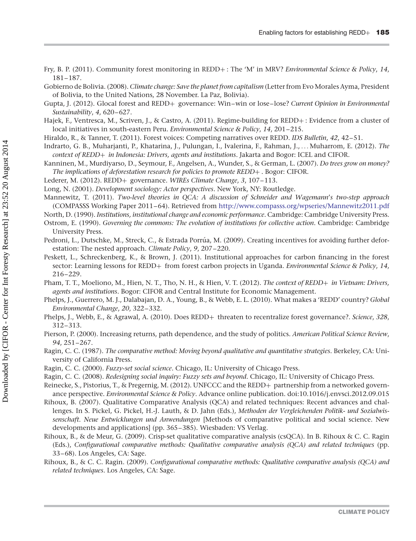- <span id="page-20-0"></span>Fry, B. P. (2011). Community forest monitoring in REDD+ : The 'M' in MRV? Environmental Science & Policy, 14, 181 –187.
- Gobierno de Bolivia. (2008). Climate change: Save the planet from capitalism (Letter from Evo Morales Ayma, President of Bolivia, to the United Nations, 28 November. La Paz, Bolivia).
- Gupta, J. (2012). Glocal forest and REDD+ governance: Win–win or lose lose? Current Opinion in Environmental Sustainability, 4, 620–627.
- Hajek, F., Ventresca, M., Scriven, J., & Castro, A. (2011). Regime-building for REDD+ : Evidence from a cluster of local initiatives in south-eastern Peru. Environmental Science & Policy, 14, 201-215.
- Hiraldo, R., & Tanner, T. (2011). Forest voices: Competing narratives over REDD. IDS Bulletin, 42, 42–51.
- Indrarto, G. B., Muharjanti, P., Khatarina, J., Pulungan, I., Ivalerina, F., Rahman, J., ... Muharrom, E. (2012). The context of REDD+ in Indonesia: Drivers, agents and institutions. Jakarta and Bogor: ICEL and CIFOR.
- Kanninen, M., Murdiyarso, D., Seymour, F., Angelsen, A., Wunder, S., & German, L. (2007). Do trees grow on money? The implications of deforestation research for policies to promote REDD+ . Bogor: CIFOR.
- Lederer, M. (2012). REDD+ governance. WIREs Climate Change, 3, 107 –113.
- Long, N. (2001). Development sociology: Actor perspectives. New York, NY: Routledge.
- Mannewitz, T. (2011). Two-level theories in QCA: A discussion of Schneider and Wagemann's two-step approach (COMPASSS Working Paper 2011 –64). Retrieved from <http://www.compasss.org/wpseries/Mannewitz2011.pdf>
- North, D. (1990). Institutions, institutional change and economic performance. Cambridge: Cambridge University Press.
- Ostrom, E. (1990). Governing the commons: The evolution of institutions for collective action. Cambridge: Cambridge University Press.
- Pedroni, L., Dutschke, M., Streck, C., & Estrada Porrúa, M. (2009). Creating incentives for avoiding further deforestation: The nested approach. Climate Policy, 9, 207 –220.
- Peskett, L., Schreckenberg, K., & Brown, J. (2011). Institutional approaches for carbon financing in the forest sector: Learning lessons for REDD+ from forest carbon projects in Uganda. Environmental Science & Policy, 14, 216 –229.
- Pham, T. T., Moeliono, M., Hien, N. T., Tho, N. H., & Hien, V. T. (2012). The context of REDD+ in Vietnam: Drivers, agents and institutions. Bogor: CIFOR and Central Institute for Economic Management.
- Phelps, J., Guerrero, M. J., Dalabajan, D. A., Young, B., & Webb, E. L. (2010). What makes a 'REDD' country? Global Environmental Change, 20, 322 –332.
- Phelps, J., Webb, E., & Agrawal, A. (2010). Does REDD+ threaten to recentralize forest governance?. Science, 328, 312 –313.
- Pierson, P. (2000). Increasing returns, path dependence, and the study of politics. American Political Science Review, 94, 251 –267.
- Ragin, C. C. (1987). The comparative method: Moving beyond qualitative and quantitative strategies. Berkeley, CA: University of California Press.
- Ragin, C. C. (2000). Fuzzy-set social science. Chicago, IL: University of Chicago Press.
- Ragin, C. C. (2008). Redesigning social inquiry: Fuzzy sets and beyond. Chicago, IL: University of Chicago Press.
- Reinecke, S., Pistorius, T., & Pregernig, M. (2012). UNFCCC and the REDD+ partnership from a networked governance perspective. Environmental Science & Policy. Advance online publication. doi:10.1016/j.envsci.2012.09.015
- Rihoux, B. (2007). Qualitative Comparative Analysis (QCA) and related techniques: Recent advances and challenges. In S. Pickel, G. Pickel, H.-J. Lauth, & D. Jahn (Eds.), Methoden der Vergleichenden Politik- und Sozialwissenschaft. Neue Entwicklungen und Anwendungen [Methods of comparative political and social science. New developments and applications] (pp. 365–385). Wiesbaden: VS Verlag.
- Rihoux, B., & de Meur, G. (2009). Crisp-set qualitative comparative analysis (csQCA). In B. Rihoux & C. C. Ragin (Eds.), Configurational comparative methods: Qualitative comparative analysis (QCA) and related techniques (pp. 33 –68). Los Angeles, CA: Sage.
- Rihoux, B., & C. C. Ragin. (2009). Configurational comparative methods: Qualitative comparative analysis (QCA) and related techniques. Los Angeles, CA: Sage.